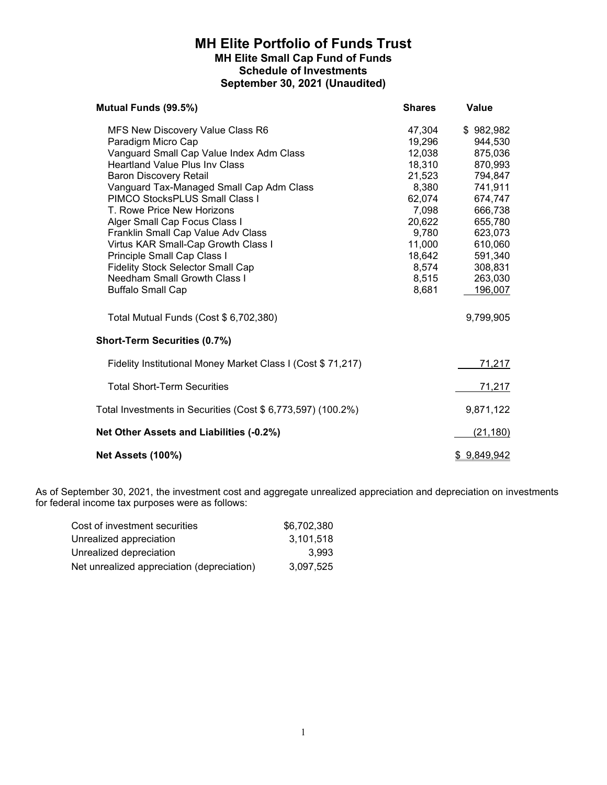## MH Elite Portfolio of Funds Trust MH Elite Small Cap Fund of Funds Schedule of Investments September 30, 2021 (Unaudited)

| Mutual Funds (99.5%)                                                                                                                                                                                                                                                                                                                                                                                                                                                                                                                                 | <b>Shares</b>                                                                                                                                | Value                                                                                                                                                               |
|------------------------------------------------------------------------------------------------------------------------------------------------------------------------------------------------------------------------------------------------------------------------------------------------------------------------------------------------------------------------------------------------------------------------------------------------------------------------------------------------------------------------------------------------------|----------------------------------------------------------------------------------------------------------------------------------------------|---------------------------------------------------------------------------------------------------------------------------------------------------------------------|
| MFS New Discovery Value Class R6<br>Paradigm Micro Cap<br>Vanguard Small Cap Value Index Adm Class<br><b>Heartland Value Plus Inv Class</b><br><b>Baron Discovery Retail</b><br>Vanguard Tax-Managed Small Cap Adm Class<br>PIMCO StocksPLUS Small Class I<br>T. Rowe Price New Horizons<br>Alger Small Cap Focus Class I<br>Franklin Small Cap Value Adv Class<br>Virtus KAR Small-Cap Growth Class I<br>Principle Small Cap Class I<br><b>Fidelity Stock Selector Small Cap</b><br><b>Needham Small Growth Class I</b><br><b>Buffalo Small Cap</b> | 47,304<br>19,296<br>12,038<br>18,310<br>21,523<br>8,380<br>62,074<br>7,098<br>20,622<br>9,780<br>11,000<br>18,642<br>8,574<br>8,515<br>8,681 | \$982,982<br>944,530<br>875,036<br>870,993<br>794,847<br>741,911<br>674,747<br>666,738<br>655,780<br>623,073<br>610,060<br>591,340<br>308,831<br>263,030<br>196,007 |
| Total Mutual Funds (Cost \$ 6,702,380)                                                                                                                                                                                                                                                                                                                                                                                                                                                                                                               |                                                                                                                                              | 9,799,905                                                                                                                                                           |
| <b>Short-Term Securities (0.7%)</b>                                                                                                                                                                                                                                                                                                                                                                                                                                                                                                                  |                                                                                                                                              |                                                                                                                                                                     |
| Fidelity Institutional Money Market Class I (Cost \$71,217)                                                                                                                                                                                                                                                                                                                                                                                                                                                                                          |                                                                                                                                              | <u>71,217</u>                                                                                                                                                       |
| <b>Total Short-Term Securities</b>                                                                                                                                                                                                                                                                                                                                                                                                                                                                                                                   |                                                                                                                                              | 71,217                                                                                                                                                              |
| Total Investments in Securities (Cost \$ 6,773,597) (100.2%)                                                                                                                                                                                                                                                                                                                                                                                                                                                                                         |                                                                                                                                              | 9,871,122                                                                                                                                                           |
| Net Other Assets and Liabilities (-0.2%)                                                                                                                                                                                                                                                                                                                                                                                                                                                                                                             |                                                                                                                                              | (21, 180)                                                                                                                                                           |
| <b>Net Assets (100%)</b>                                                                                                                                                                                                                                                                                                                                                                                                                                                                                                                             |                                                                                                                                              | \$9,849,942                                                                                                                                                         |

| Cost of investment securities              | \$6,702,380 |
|--------------------------------------------|-------------|
| Unrealized appreciation                    | 3.101.518   |
| Unrealized depreciation                    | 3.993       |
| Net unrealized appreciation (depreciation) | 3.097.525   |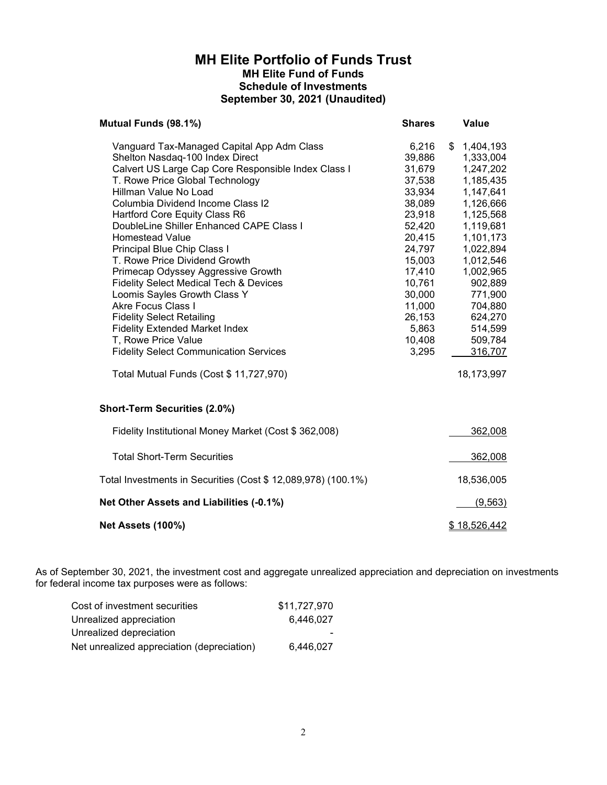### MH Elite Portfolio of Funds Trust MH Elite Fund of Funds Schedule of Investments September 30, 2021 (Unaudited)

| Mutual Funds (98.1%)                                                                                                                                                                                                                                                                                                                                                                                                                                                                                                                                                                                                                                                                                                      | <b>Shares</b>                                                                                                                                                                           | Value                                                                                                                                                                                                                                       |
|---------------------------------------------------------------------------------------------------------------------------------------------------------------------------------------------------------------------------------------------------------------------------------------------------------------------------------------------------------------------------------------------------------------------------------------------------------------------------------------------------------------------------------------------------------------------------------------------------------------------------------------------------------------------------------------------------------------------------|-----------------------------------------------------------------------------------------------------------------------------------------------------------------------------------------|---------------------------------------------------------------------------------------------------------------------------------------------------------------------------------------------------------------------------------------------|
| Vanguard Tax-Managed Capital App Adm Class<br>Shelton Nasdaq-100 Index Direct<br>Calvert US Large Cap Core Responsible Index Class I<br>T. Rowe Price Global Technology<br>Hillman Value No Load<br>Columbia Dividend Income Class I2<br>Hartford Core Equity Class R6<br>DoubleLine Shiller Enhanced CAPE Class I<br><b>Homestead Value</b><br>Principal Blue Chip Class I<br>T. Rowe Price Dividend Growth<br>Primecap Odyssey Aggressive Growth<br><b>Fidelity Select Medical Tech &amp; Devices</b><br>Loomis Sayles Growth Class Y<br><b>Akre Focus Class I</b><br><b>Fidelity Select Retailing</b><br><b>Fidelity Extended Market Index</b><br>T, Rowe Price Value<br><b>Fidelity Select Communication Services</b> | 6,216<br>39,886<br>31,679<br>37,538<br>33,934<br>38,089<br>23,918<br>52,420<br>20,415<br>24,797<br>15,003<br>17,410<br>10,761<br>30,000<br>11,000<br>26,153<br>5,863<br>10,408<br>3,295 | \$<br>1,404,193<br>1,333,004<br>1,247,202<br>1,185,435<br>1,147,641<br>1,126,666<br>1,125,568<br>1,119,681<br>1,101,173<br>1,022,894<br>1,012,546<br>1,002,965<br>902,889<br>771,900<br>704,880<br>624,270<br>514,599<br>509,784<br>316,707 |
| Total Mutual Funds (Cost \$ 11,727,970)                                                                                                                                                                                                                                                                                                                                                                                                                                                                                                                                                                                                                                                                                   |                                                                                                                                                                                         | 18,173,997                                                                                                                                                                                                                                  |
| <b>Short-Term Securities (2.0%)</b>                                                                                                                                                                                                                                                                                                                                                                                                                                                                                                                                                                                                                                                                                       |                                                                                                                                                                                         |                                                                                                                                                                                                                                             |
| Fidelity Institutional Money Market (Cost \$ 362,008)                                                                                                                                                                                                                                                                                                                                                                                                                                                                                                                                                                                                                                                                     |                                                                                                                                                                                         | 362,008                                                                                                                                                                                                                                     |
| <b>Total Short-Term Securities</b>                                                                                                                                                                                                                                                                                                                                                                                                                                                                                                                                                                                                                                                                                        |                                                                                                                                                                                         | 362,008                                                                                                                                                                                                                                     |
| Total Investments in Securities (Cost \$ 12,089,978) (100.1%)                                                                                                                                                                                                                                                                                                                                                                                                                                                                                                                                                                                                                                                             |                                                                                                                                                                                         | 18,536,005                                                                                                                                                                                                                                  |
| Net Other Assets and Liabilities (-0.1%)                                                                                                                                                                                                                                                                                                                                                                                                                                                                                                                                                                                                                                                                                  |                                                                                                                                                                                         | (9, 563)                                                                                                                                                                                                                                    |
| Net Assets (100%)                                                                                                                                                                                                                                                                                                                                                                                                                                                                                                                                                                                                                                                                                                         |                                                                                                                                                                                         | \$18,526,442                                                                                                                                                                                                                                |

| Cost of investment securities              | \$11.727.970 |
|--------------------------------------------|--------------|
| Unrealized appreciation                    | 6.446.027    |
| Unrealized depreciation                    | . .          |
| Net unrealized appreciation (depreciation) | 6.446.027    |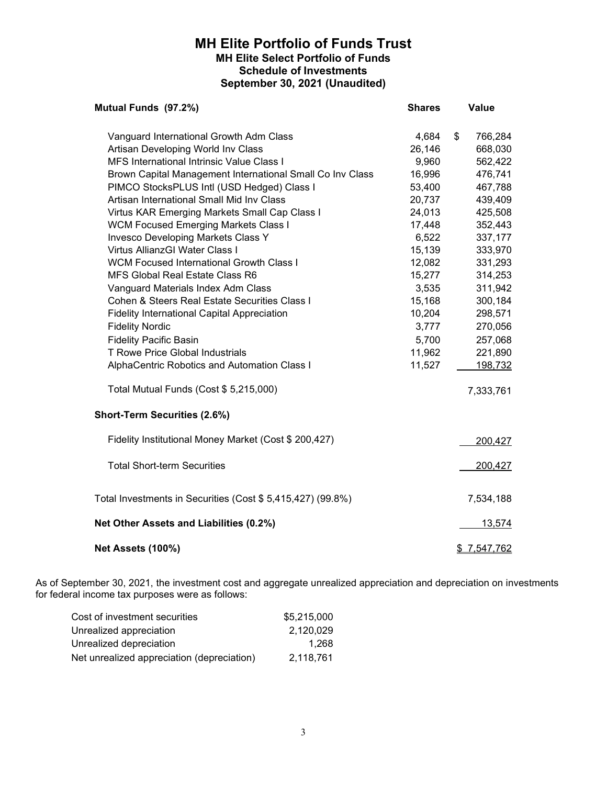## MH Elite Portfolio of Funds Trust MH Elite Select Portfolio of Funds Schedule of Investments September 30, 2021 (Unaudited)

| Mutual Funds (97.2%)                                        | <b>Shares</b> | Value         |
|-------------------------------------------------------------|---------------|---------------|
| Vanguard International Growth Adm Class                     | 4,684         | \$<br>766,284 |
| Artisan Developing World Inv Class                          | 26,146        | 668,030       |
| <b>MFS International Intrinsic Value Class I</b>            | 9,960         | 562,422       |
| Brown Capital Management International Small Co Inv Class   | 16,996        | 476,741       |
| PIMCO StocksPLUS Intl (USD Hedged) Class I                  | 53,400        | 467,788       |
| Artisan International Small Mid Inv Class                   | 20,737        | 439,409       |
| Virtus KAR Emerging Markets Small Cap Class I               | 24,013        | 425,508       |
| <b>WCM Focused Emerging Markets Class I</b>                 | 17,448        | 352,443       |
| <b>Invesco Developing Markets Class Y</b>                   | 6,522         | 337,177       |
| Virtus AllianzGI Water Class I                              | 15,139        | 333,970       |
| <b>WCM Focused International Growth Class I</b>             | 12,082        | 331,293       |
| <b>MFS Global Real Estate Class R6</b>                      | 15,277        | 314,253       |
| Vanguard Materials Index Adm Class                          | 3,535         | 311,942       |
| Cohen & Steers Real Estate Securities Class I               | 15,168        | 300,184       |
| <b>Fidelity International Capital Appreciation</b>          | 10,204        | 298,571       |
| <b>Fidelity Nordic</b>                                      | 3,777         | 270,056       |
| <b>Fidelity Pacific Basin</b>                               | 5,700         | 257,068       |
| <b>T Rowe Price Global Industrials</b>                      | 11,962        | 221,890       |
| AlphaCentric Robotics and Automation Class I                | 11,527        | 198,732       |
| Total Mutual Funds (Cost \$ 5,215,000)                      |               | 7,333,761     |
| <b>Short-Term Securities (2.6%)</b>                         |               |               |
| Fidelity Institutional Money Market (Cost \$ 200,427)       |               | 200,427       |
| <b>Total Short-term Securities</b>                          |               | 200,427       |
| Total Investments in Securities (Cost \$ 5,415,427) (99.8%) |               | 7,534,188     |
| Net Other Assets and Liabilities (0.2%)                     |               | 13,574        |
| <b>Net Assets (100%)</b>                                    |               | \$7,547,762   |

| Cost of investment securities              | \$5.215.000 |
|--------------------------------------------|-------------|
| Unrealized appreciation                    | 2.120.029   |
| Unrealized depreciation                    | 1.268       |
| Net unrealized appreciation (depreciation) | 2.118.761   |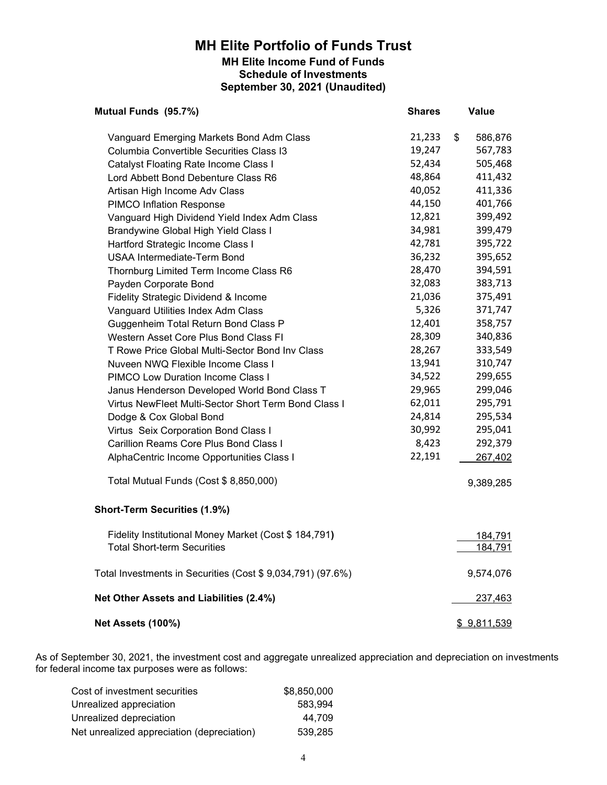## MH Elite Portfolio of Funds Trust MH Elite Income Fund of Funds Schedule of Investments September 30, 2021 (Unaudited)

| Mutual Funds (95.7%)                                       | <b>Shares</b> | <b>Value</b>             |
|------------------------------------------------------------|---------------|--------------------------|
| Vanguard Emerging Markets Bond Adm Class                   | 21,233        | $\frac{1}{2}$<br>586,876 |
| Columbia Convertible Securities Class I3                   | 19,247        | 567,783                  |
| Catalyst Floating Rate Income Class I                      | 52,434        | 505,468                  |
| Lord Abbett Bond Debenture Class R6                        | 48,864        | 411,432                  |
| Artisan High Income Adv Class                              | 40,052        | 411,336                  |
| <b>PIMCO Inflation Response</b>                            | 44,150        | 401,766                  |
| Vanguard High Dividend Yield Index Adm Class               | 12,821        | 399,492                  |
| Brandywine Global High Yield Class I                       | 34,981        | 399,479                  |
| Hartford Strategic Income Class I                          | 42,781        | 395,722                  |
| <b>USAA Intermediate-Term Bond</b>                         | 36,232        | 395,652                  |
| Thornburg Limited Term Income Class R6                     | 28,470        | 394,591                  |
| Payden Corporate Bond                                      | 32,083        | 383,713                  |
| Fidelity Strategic Dividend & Income                       | 21,036        | 375,491                  |
| Vanguard Utilities Index Adm Class                         | 5,326         | 371,747                  |
| Guggenheim Total Return Bond Class P                       | 12,401        | 358,757                  |
| Western Asset Core Plus Bond Class FI                      | 28,309        | 340,836                  |
| T Rowe Price Global Multi-Sector Bond Inv Class            | 28,267        | 333,549                  |
| Nuveen NWQ Flexible Income Class I                         | 13,941        | 310,747                  |
| <b>PIMCO Low Duration Income Class I</b>                   | 34,522        | 299,655                  |
| Janus Henderson Developed World Bond Class T               | 29,965        | 299,046                  |
| Virtus NewFleet Multi-Sector Short Term Bond Class I       | 62,011        | 295,791                  |
| Dodge & Cox Global Bond                                    | 24,814        | 295,534                  |
| Virtus Seix Corporation Bond Class I                       | 30,992        | 295,041                  |
| Carillion Reams Core Plus Bond Class I                     | 8,423         | 292,379                  |
| AlphaCentric Income Opportunities Class I                  | 22,191        | 267,402                  |
| Total Mutual Funds (Cost \$8,850,000)                      |               | 9,389,285                |
| <b>Short-Term Securities (1.9%)</b>                        |               |                          |
| Fidelity Institutional Money Market (Cost \$ 184,791)      |               | 184,791                  |
| <b>Total Short-term Securities</b>                         |               | 184,791                  |
| Total Investments in Securities (Cost \$9,034,791) (97.6%) |               | 9,574,076                |
| Net Other Assets and Liabilities (2.4%)                    |               | 237,463                  |
| Net Assets (100%)                                          |               | \$9,811,539              |

| Cost of investment securities              | \$8,850,000 |
|--------------------------------------------|-------------|
| Unrealized appreciation                    | 583.994     |
| Unrealized depreciation                    | 44.709      |
| Net unrealized appreciation (depreciation) | 539.285     |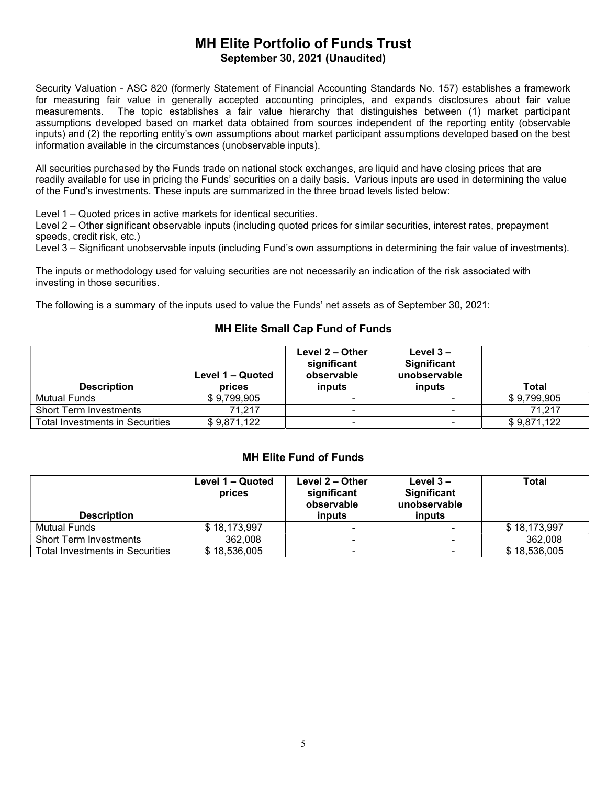# MH Elite Portfolio of Funds Trust September 30, 2021 (Unaudited)

Security Valuation - ASC 820 (formerly Statement of Financial Accounting Standards No. 157) establishes a framework for measuring fair value in generally accepted accounting principles, and expands disclosures about fair value measurements. The topic establishes a fair value hierarchy that distinguishes between (1) market participant assumptions developed based on market data obtained from sources independent of the reporting entity (observable inputs) and (2) the reporting entity's own assumptions about market participant assumptions developed based on the best information available in the circumstances (unobservable inputs).

All securities purchased by the Funds trade on national stock exchanges, are liquid and have closing prices that are readily available for use in pricing the Funds' securities on a daily basis. Various inputs are used in determining the value of the Fund's investments. These inputs are summarized in the three broad levels listed below:

Level 1 – Quoted prices in active markets for identical securities.

Level 2 – Other significant observable inputs (including quoted prices for similar securities, interest rates, prepayment speeds, credit risk, etc.)

Level 3 – Significant unobservable inputs (including Fund's own assumptions in determining the fair value of investments).

The inputs or methodology used for valuing securities are not necessarily an indication of the risk associated with investing in those securities.

The following is a summary of the inputs used to value the Funds' net assets as of September 30, 2021:

#### MH Elite Small Cap Fund of Funds

| <b>Description</b>              | Level 1 – Quoted<br>prices | Level 2 – Other<br>significant<br>observable<br>inputs | Level $3 -$<br>Significant<br>unobservable<br>inputs | Total       |
|---------------------------------|----------------------------|--------------------------------------------------------|------------------------------------------------------|-------------|
| Mutual Funds                    | \$9,799,905                | $\blacksquare$                                         |                                                      | \$9,799,905 |
| <b>Short Term Investments</b>   | 71.217                     |                                                        |                                                      | 71.217      |
| Total Investments in Securities | \$9,871,122                | $\blacksquare$                                         | $\,$                                                 | \$9.871.122 |

#### MH Elite Fund of Funds

| <b>Description</b>              | Level 1 – Quoted<br>prices | Level 2 – Other<br>significant<br>observable<br>inputs | Level $3 -$<br><b>Significant</b><br>unobservable<br>inputs | Total        |
|---------------------------------|----------------------------|--------------------------------------------------------|-------------------------------------------------------------|--------------|
| Mutual Funds                    | \$18,173,997               | ۰                                                      |                                                             | \$18,173,997 |
| <b>Short Term Investments</b>   | 362.008                    | $\blacksquare$                                         | $\overline{\phantom{a}}$                                    | 362,008      |
| Total Investments in Securities | \$18,536,005               | $\sim$                                                 |                                                             | \$18,536,005 |